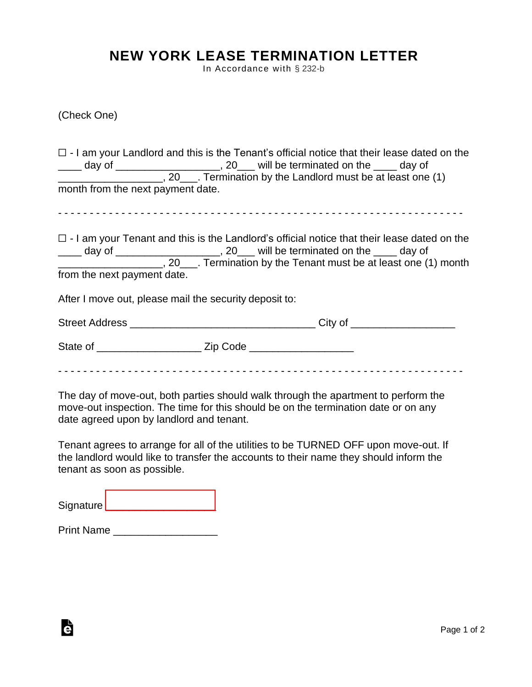## **NEW YORK LEASE TERMINATION LETTER**

In Accordance with § 232-b

(Check One)

|                                                        | $\Box$ - I am your Landlord and this is the Tenant's official notice that their lease dated on the<br>____ day of _____________________, 20___ will be terminated on the ____ day of |
|--------------------------------------------------------|--------------------------------------------------------------------------------------------------------------------------------------------------------------------------------------|
|                                                        | _________________________, 20____. Termination by the Landlord must be at least one (1)                                                                                              |
| month from the next payment date.                      |                                                                                                                                                                                      |
|                                                        |                                                                                                                                                                                      |
|                                                        | $\Box$ - I am your Tenant and this is the Landlord's official notice that their lease dated on the                                                                                   |
|                                                        | ____ day of ____________________, 20___ will be terminated on the ____ day of                                                                                                        |
|                                                        | _________________________, 20____. Termination by the Tenant must be at least one (1) month                                                                                          |
| from the next payment date.                            |                                                                                                                                                                                      |
| After I move out, please mail the security deposit to: |                                                                                                                                                                                      |
|                                                        |                                                                                                                                                                                      |
|                                                        |                                                                                                                                                                                      |
|                                                        |                                                                                                                                                                                      |
|                                                        |                                                                                                                                                                                      |

The day of move-out, both parties should walk through the apartment to perform the move-out inspection. The time for this should be on the termination date or on any date agreed upon by landlord and tenant.

Tenant agrees to arrange for all of the utilities to be TURNED OFF upon move-out. If the landlord would like to transfer the accounts to their name they should inform the tenant as soon as possible.

Signature [\\_\\_\\_\\_\\_\\_\\_\\_\\_\\_\\_\\_\\_\\_\\_\\_\\_\\_\\_](https://esign.com)\_\_\_\_\_\_

| <b>Print Name</b> |  |
|-------------------|--|
|-------------------|--|

è